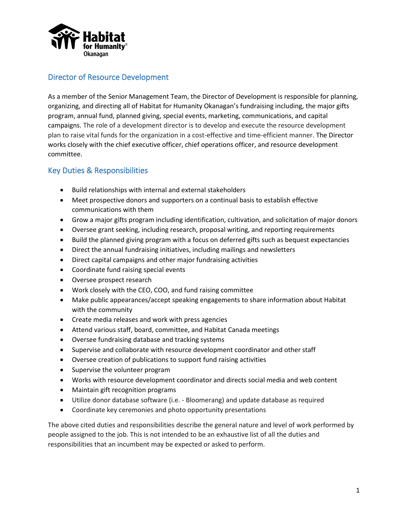

## Director of Resource Development

As a member of the Senior Management Team, the Director of Development is responsible for planning, organizing, and directing all of Habitat for Humanity Okanagan's fundraising including, the major gifts program, annual fund, planned giving, special events, marketing, communications, and capital campaigns. The role of a development director is to develop and execute the resource development plan to raise vital funds for the organization in a cost-effective and time-efficient manner. The Director works closely with the chief executive officer, chief operations officer, and resource development committee.

## Key Duties & Responsibilities

- Build relationships with internal and external stakeholders
- Meet prospective donors and supporters on a continual basis to establish effective communications with them
- Grow a major gifts program including identification, cultivation, and solicitation of major donors
- Oversee grant seeking, including research, proposal writing, and reporting requirements
- Build the planned giving program with a focus on deferred gifts such as bequest expectancies
- Direct the annual fundraising initiatives, including mailings and newsletters
- Direct capital campaigns and other major fundraising activities
- Coordinate fund raising special events
- Oversee prospect research
- Work closely with the CEO, COO, and fund raising committee
- Make public appearances/accept speaking engagements to share information about Habitat with the community
- Create media releases and work with press agencies
- Attend various staff, board, committee, and Habitat Canada meetings
- Oversee fundraising database and tracking systems
- Supervise and collaborate with resource development coordinator and other staff
- Oversee creation of publications to support fund raising activities
- Supervise the volunteer program
- Works with resource development coordinator and directs social media and web content
- Maintain gift recognition programs
- Utilize donor database software (i.e. Bloomerang) and update database as required
- Coordinate key ceremonies and photo opportunity presentations

The above cited duties and responsibilities describe the general nature and level of work performed by people assigned to the job. This is not intended to be an exhaustive list of all the duties and responsibilities that an incumbent may be expected or asked to perform.